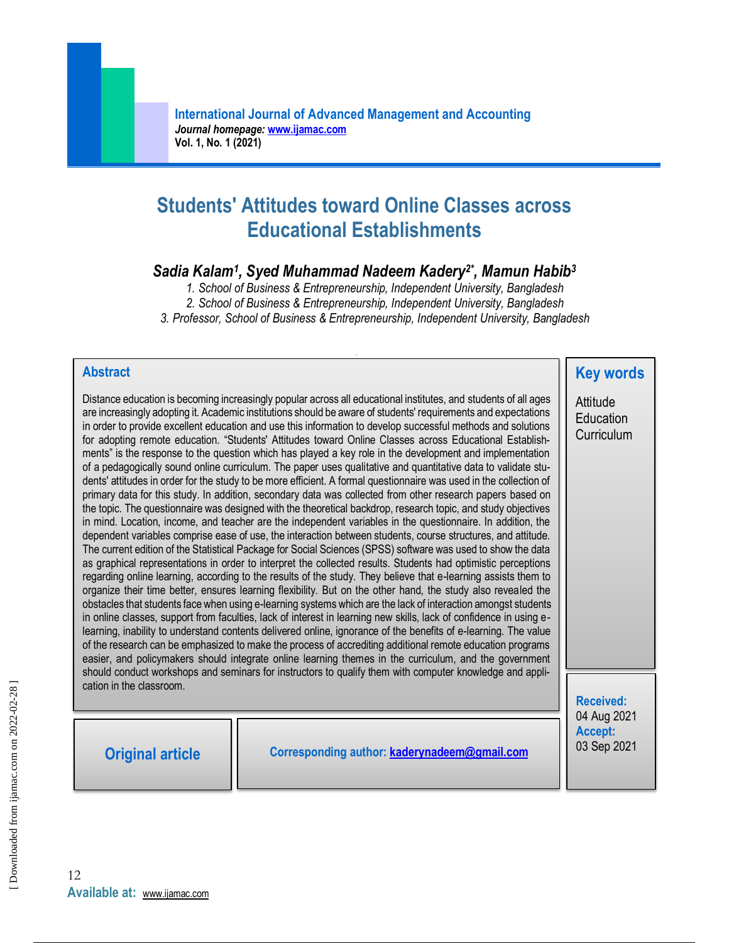# **Students' Attitudes toward Online Classes across Educational Establishments**

## *Sadia Kalam<sup>1</sup> , Syed Muhammad Nadeem Kadery2\* , Mamun Habib<sup>3</sup>*

*1. School of Business & Entrepreneurship, Independent University, Bangladesh*

*2. School of Business & Entrepreneurship, Independent University, Bangladesh*

*3. Professor, School of Business & Entrepreneurship, Independent University, Bangladesh*

#### **Abstract**

Distance education is becoming increasingly popular across all educational institutes, and students of all ages are increasingly adopting it. Academic institutions should be aware of students' requirements and expectations in order to provide excellent education and use this information to develop successful methods and solutions for adopting remote education. "Students' Attitudes toward Online Classes across Educational Establishments" is the response to the question which has played a key role in the development and implementation of a pedagogically sound online curriculum. The paper uses qualitative and quantitative data to validate students' attitudes in order for the study to be more efficient. A formal questionnaire was used in the collection of primary data for this study. In addition, secondary data was collected from other research papers based on the topic. The questionnaire was designed with the theoretical backdrop, research topic, and study objectives in mind. Location, income, and teacher are the independent variables in the questionnaire. In addition, the dependent variables comprise ease of use, the interaction between students, course structures, and attitude. The current edition of the Statistical Package for Social Sciences (SPSS) software was used to show the data as graphical representations in order to interpret the collected results. Students had optimistic perceptions regarding online learning, according to the results of the study. They believe that e-learning assists them to organize their time better, ensures learning flexibility. But on the other hand, the study also revealed the obstacles that students face when using e-learning systems which are the lack of interaction amongst students in online classes, support from faculties, lack of interest in learning new skills, lack of confidence in using elearning, inability to understand contents delivered online, ignorance of the benefits of e-learning. The value of the research can be emphasized to make the process of accrediting additional remote education programs easier, and policymakers should integrate online learning themes in the curriculum, and the government should conduct workshops and seminars for instructors to qualify them with computer knowledge and application in the classroom.

**Original article Corresponding author: [kaderynadeem@gmail.com](mailto:kaderynadeem@gmail.com)**

**Attitude Education Curriculum** 

**Received:** 04 Aug 2021 **Accept:**  03 Sep 2021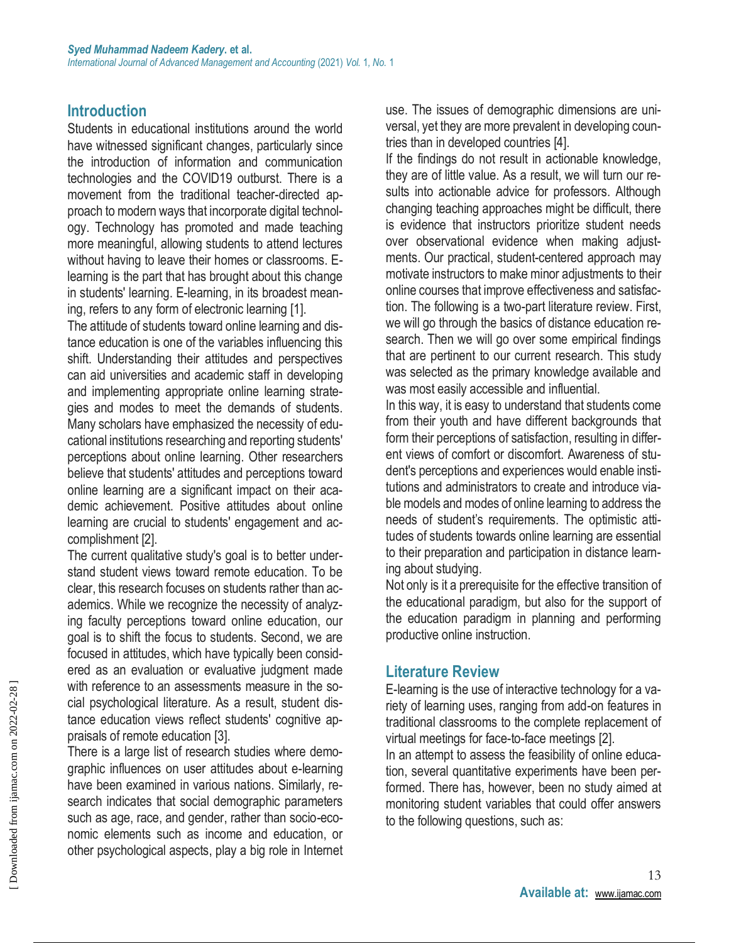### **Introduction**

Students in educational institutions around the world have witnessed significant changes, particularly since the introduction of information and communication technologies and the COVID19 outburst. There is a movement from the traditional teacher-directed approach to modern ways that incorporate digital technology. Technology has promoted and made teaching more meaningful, allowing students to attend lectures without having to leave their homes or classrooms. Elearning is the part that has brought about this change in students' learning. E-learning, in its broadest meaning, refers to any form of electronic learning [1].

The attitude of students toward online learning and distance education is one of the variables influencing this shift. Understanding their attitudes and perspectives can aid universities and academic staff in developing and implementing appropriate online learning strategies and modes to meet the demands of students. Many scholars have emphasized the necessity of educational institutions researching and reporting students' perceptions about online learning. Other researchers believe that students' attitudes and perceptions toward online learning are a significant impact on their academic achievement. Positive attitudes about online learning are crucial to students' engagement and accomplishment [2].

The current qualitative study's goal is to better understand student views toward remote education. To be clear, this research focuses on students rather than academics. While we recognize the necessity of analyzing faculty perceptions toward online education, our goal is to shift the focus to students. Second, we are focused in attitudes, which have typically been considered as an evaluation or evaluative judgment made with reference to an assessments measure in the social psychological literature. As a result, student distance education views reflect students' cognitive appraisals of remote education [3].

There is a large list of research studies where demographic influences on user attitudes about e-learning have been examined in various nations. Similarly, research indicates that social demographic parameters such as age, race, and gender, rather than socio-economic elements such as income and education, or other psychological aspects, play a big role in Internet use. The issues of demographic dimensions are universal, yet they are more prevalent in developing countries than in developed countries [4].

If the findings do not result in actionable knowledge, they are of little value. As a result, we will turn our results into actionable advice for professors. Although changing teaching approaches might be difficult, there is evidence that instructors prioritize student needs over observational evidence when making adjustments. Our practical, student-centered approach may motivate instructors to make minor adjustments to their online courses that improve effectiveness and satisfaction. The following is a two-part literature review. First, we will go through the basics of distance education research. Then we will go over some empirical findings that are pertinent to our current research. This study was selected as the primary knowledge available and was most easily accessible and influential.

In this way, it is easy to understand that students come from their youth and have different backgrounds that form their perceptions of satisfaction, resulting in different views of comfort or discomfort. Awareness of student's perceptions and experiences would enable institutions and administrators to create and introduce viable models and modes of online learning to address the needs of student's requirements. The optimistic attitudes of students towards online learning are essential to their preparation and participation in distance learning about studying.

Not only is it a prerequisite for the effective transition of the educational paradigm, but also for the support of the education paradigm in planning and performing productive online instruction.

#### **Literature Review**

to the following questions, such as:

E-learning is the use of interactive technology for a variety of learning uses, ranging from add-on features in traditional classrooms to the complete replacement of virtual meetings for face-to-face meetings [2]. In an attempt to assess the feasibility of online education, several quantitative experiments have been performed. There has, however, been no study aimed at monitoring student variables that could offer answers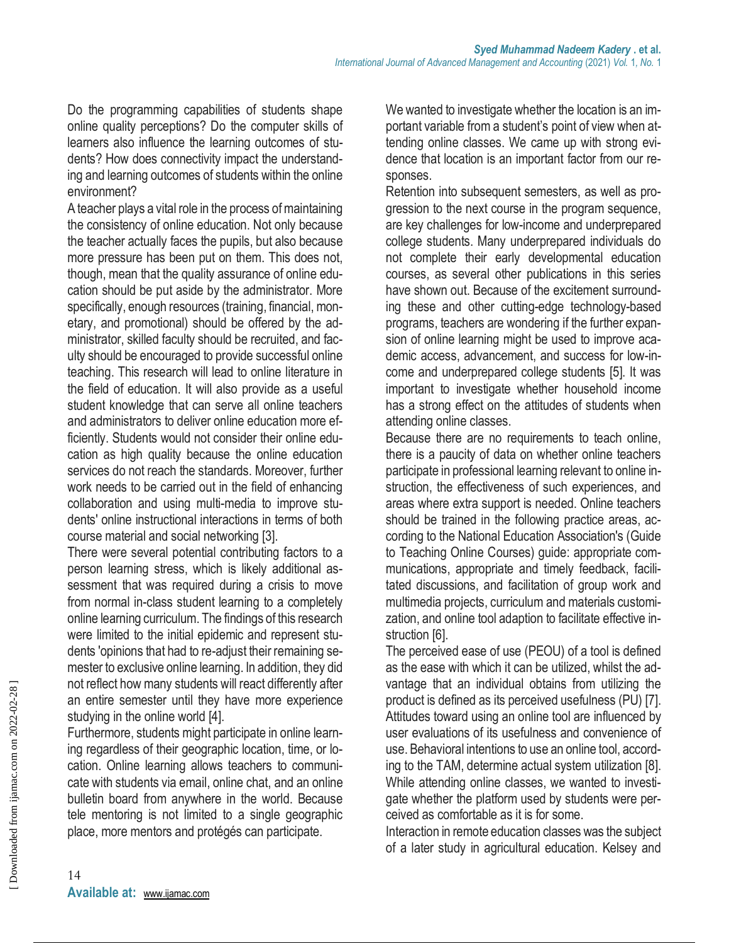Do the programming capabilities of students shape online quality perceptions? Do the computer skills of learners also influence the learning outcomes of students? How does connectivity impact the understanding and learning outcomes of students within the online environment?

A teacher plays a vital role in the process of maintaining the consistency of online education. Not only because the teacher actually faces the pupils, but also because more pressure has been put on them. This does not, though, mean that the quality assurance of online education should be put aside by the administrator. More specifically, enough resources (training, financial, monetary, and promotional) should be offered by the administrator, skilled faculty should be recruited, and faculty should be encouraged to provide successful online teaching. This research will lead to online literature in the field of education. It will also provide as a useful student knowledge that can serve all online teachers and administrators to deliver online education more efficiently. Students would not consider their online education as high quality because the online education services do not reach the standards. Moreover, further work needs to be carried out in the field of enhancing collaboration and using multi-media to improve students' online instructional interactions in terms of both course material and social networking [3].

There were several potential contributing factors to a person learning stress, which is likely additional assessment that was required during a crisis to move from normal in-class student learning to a completely online learning curriculum. The findings of this research were limited to the initial epidemic and represent students 'opinions that had to re-adjust their remaining semester to exclusive online learning. In addition, they did not reflect how many students will react differently after an entire semester until they have more experience studying in the online world [4].

Furthermore, students might participate in online learning regardless of their geographic location, time, or location. Online learning allows teachers to communicate with students via email, online chat, and an online bulletin board from anywhere in the world. Because tele mentoring is not limited to a single geographic place, more mentors and protégés can participate.

We wanted to investigate whether the location is an important variable from a student's point of view when attending online classes. We came up with strong evidence that location is an important factor from our responses.

Retention into subsequent semesters, as well as progression to the next course in the program sequence, are key challenges for low-income and underprepared college students. Many underprepared individuals do not complete their early developmental education courses, as several other publications in this series have shown out. Because of the excitement surrounding these and other cutting-edge technology-based programs, teachers are wondering if the further expansion of online learning might be used to improve academic access, advancement, and success for low-income and underprepared college students [5]. It was important to investigate whether household income has a strong effect on the attitudes of students when attending online classes.

Because there are no requirements to teach online, there is a paucity of data on whether online teachers participate in professional learning relevant to online instruction, the effectiveness of such experiences, and areas where extra support is needed. Online teachers should be trained in the following practice areas, according to the National Education Association's (Guide to Teaching Online Courses) guide: appropriate communications, appropriate and timely feedback, facilitated discussions, and facilitation of group work and multimedia projects, curriculum and materials customization, and online tool adaption to facilitate effective instruction [6].

The perceived ease of use (PEOU) of a tool is defined as the ease with which it can be utilized, whilst the advantage that an individual obtains from utilizing the product is defined as its perceived usefulness (PU) [7]. Attitudes toward using an online tool are influenced by user evaluations of its usefulness and convenience of use. Behavioral intentions to use an online tool, according to the TAM, determine actual system utilization [8]. While attending online classes, we wanted to investigate whether the platform used by students were perceived as comfortable as it is for some.

Interaction in remote education classes was the subject of a later study in agricultural education. Kelsey and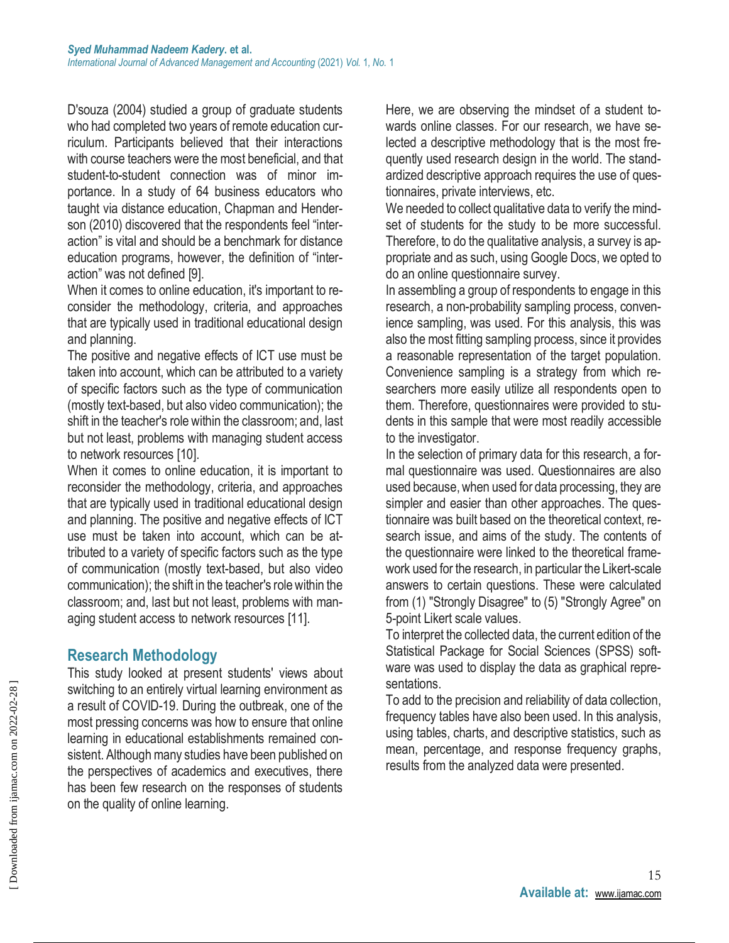D'souza (2004) studied a group of graduate students who had completed two years of remote education curriculum. Participants believed that their interactions with course teachers were the most beneficial, and that student-to-student connection was of minor importance. In a study of 64 business educators who taught via distance education, Chapman and Henderson (2010) discovered that the respondents feel "interaction" is vital and should be a benchmark for distance education programs, however, the definition of "interaction" was not defined [9].

When it comes to online education, it's important to reconsider the methodology, criteria, and approaches that are typically used in traditional educational design and planning.

The positive and negative effects of ICT use must be taken into account, which can be attributed to a variety of specific factors such as the type of communication (mostly text-based, but also video communication); the shift in the teacher's role within the classroom; and, last but not least, problems with managing student access to network resources [10].

When it comes to online education, it is important to reconsider the methodology, criteria, and approaches that are typically used in traditional educational design and planning. The positive and negative effects of ICT use must be taken into account, which can be attributed to a variety of specific factors such as the type of communication (mostly text-based, but also video communication); the shift in the teacher's role within the classroom; and, last but not least, problems with managing student access to network resources [11].

#### **Research Methodology**

This study looked at present students' views about switching to an entirely virtual learning environment as a result of COVID-19. During the outbreak, one of the most pressing concerns was how to ensure that online learning in educational establishments remained consistent. Although many studies have been published on the perspectives of academics and executives, there has been few research on the responses of students on the quality of online learning.

Here, we are observing the mindset of a student towards online classes. For our research, we have selected a descriptive methodology that is the most frequently used research design in the world. The standardized descriptive approach requires the use of questionnaires, private interviews, etc.

We needed to collect qualitative data to verify the mindset of students for the study to be more successful. Therefore, to do the qualitative analysis, a survey is appropriate and as such, using Google Docs, we opted to do an online questionnaire survey.

In assembling a group of respondents to engage in this research, a non-probability sampling process, convenience sampling, was used. For this analysis, this was also the most fitting sampling process, since it provides a reasonable representation of the target population. Convenience sampling is a strategy from which researchers more easily utilize all respondents open to them. Therefore, questionnaires were provided to students in this sample that were most readily accessible to the investigator.

In the selection of primary data for this research, a formal questionnaire was used. Questionnaires are also used because, when used for data processing, they are simpler and easier than other approaches. The questionnaire was built based on the theoretical context, research issue, and aims of the study. The contents of the questionnaire were linked to the theoretical framework used for the research, in particular the Likert-scale answers to certain questions. These were calculated from (1) "Strongly Disagree" to (5) "Strongly Agree" on 5-point Likert scale values.

To interpret the collected data, the current edition of the Statistical Package for Social Sciences (SPSS) software was used to display the data as graphical representations.

To add to the precision and reliability of data collection, frequency tables have also been used. In this analysis, using tables, charts, and descriptive statistics, such as mean, percentage, and response frequency graphs, results from the analyzed data were presented.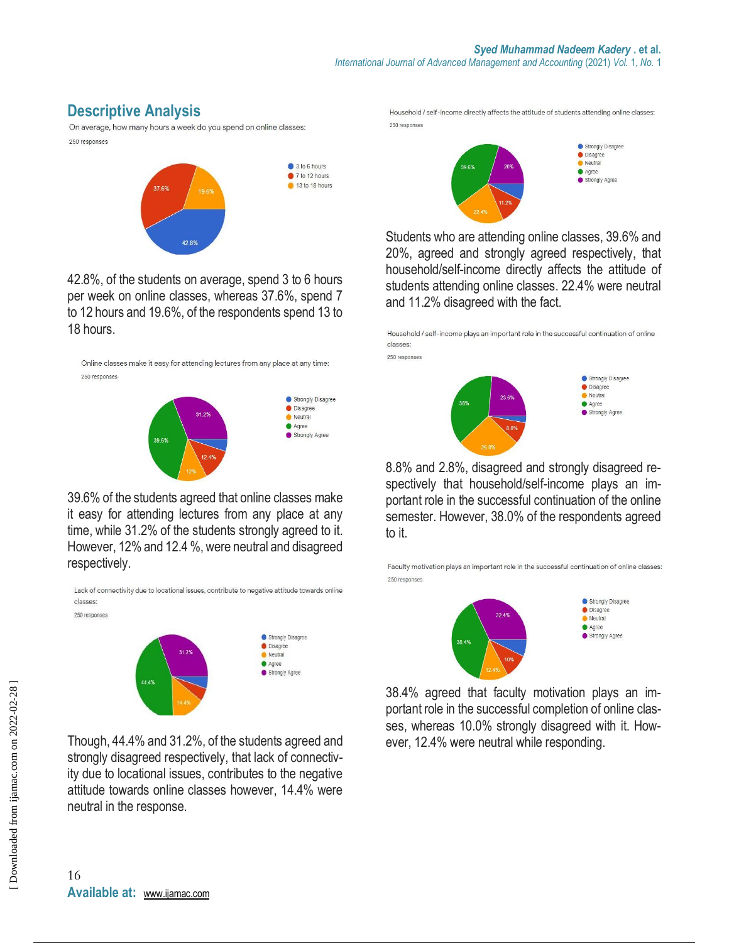## **Descriptive Analysis**

On average, how many hours a week do you spend on online classes: 250 responses



42.8%, of the students on average, spend 3 to 6 hours per week on online classes, whereas 37.6%, spend 7 to 12 hours and 19.6%, of the respondents spend 13 to 18 hours.

Online classes make it easy for attending lectures from any place at any time: 250 responses



39.6% of the students agreed that online classes make it easy for attending lectures from any place at any time, while 31.2% of the students strongly agreed to it. However, 12% and 12.4 %, were neutral and disagreed respectively.

Lack of connectivity due to locational issues, contribute to negative attitude towards online classes: 250 responses



Though, 44.4% and 31.2%, of the students agreed and strongly disagreed respectively, that lack of connectivity due to locational issues, contributes to the negative attitude towards online classes however, 14.4% were neutral in the response.

Household / self-income directly affects the attitude of students attending online classes: 250 responses



Students who are attending online classes, 39.6% and 20%, agreed and strongly agreed respectively, that household/self-income directly affects the attitude of students attending online classes. 22.4% were neutral and 11.2% disagreed with the fact.

Household / self-income plays an important role in the successful continuation of online classes:

250 responses



8.8% and 2.8%, disagreed and strongly disagreed respectively that household/self-income plays an important role in the successful continuation of the online semester. However, 38.0% of the respondents agreed to it.

Faculty motivation plays an important role in the successful continuation of online classes: 250 responses



38.4% agreed that faculty motivation plays an important role in the successful completion of online classes, whereas 10.0% strongly disagreed with it. However, 12.4% were neutral while responding.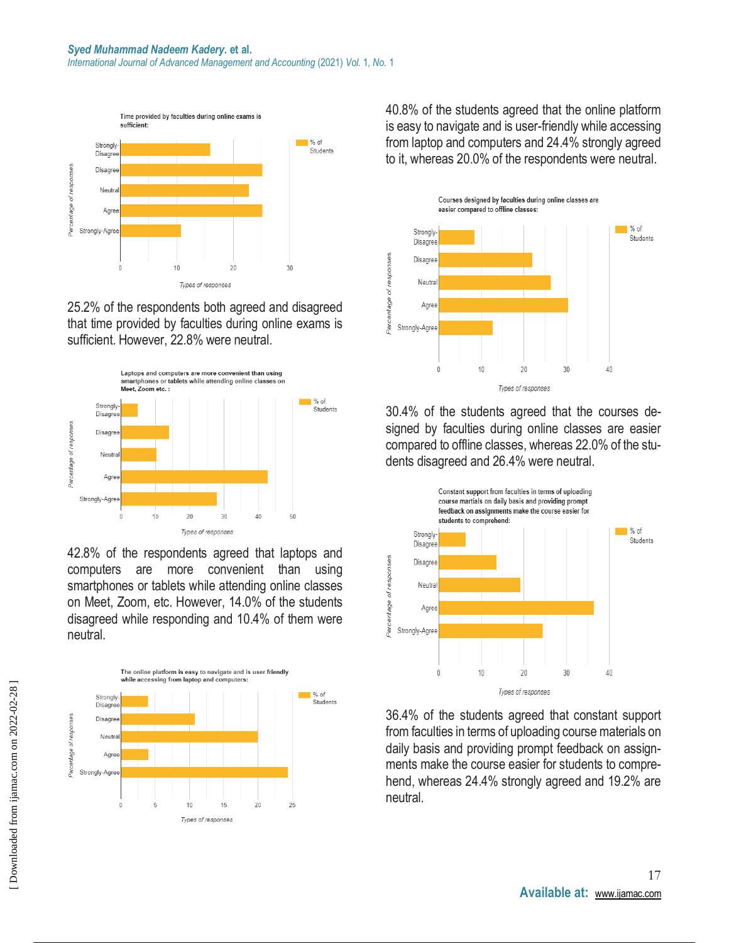*International Journal of Advanced Management and Accounting* (2021) *Vol.* 1*, No.* 1



25.2% of the respondents both agreed and disagreed that time provided by faculties during online exams is sufficient. However, 22.8% were neutral.



42.8% of the respondents agreed that laptops and computers are more convenient than using smartphones or tablets while attending online classes on Meet, Zoom, etc. However, 14.0% of the students disagreed while responding and 10.4% of them were neutral.



40.8% of the students agreed that the online platform is easy to navigate and is user-friendly while accessing from laptop and computers and 24.4% strongly agreed to it, whereas 20.0% of the respondents were neutral.



30.4% of the students agreed that the courses designed by faculties during online classes are easier compared to offline classes, whereas 22.0% of the students disagreed and 26.4% were neutral.



36.4% of the students agreed that constant support from faculties in terms of uploading course materials on daily basis and providing prompt feedback on assignments make the course easier for students to comprehend, whereas 24.4% strongly agreed and 19.2% are neutral.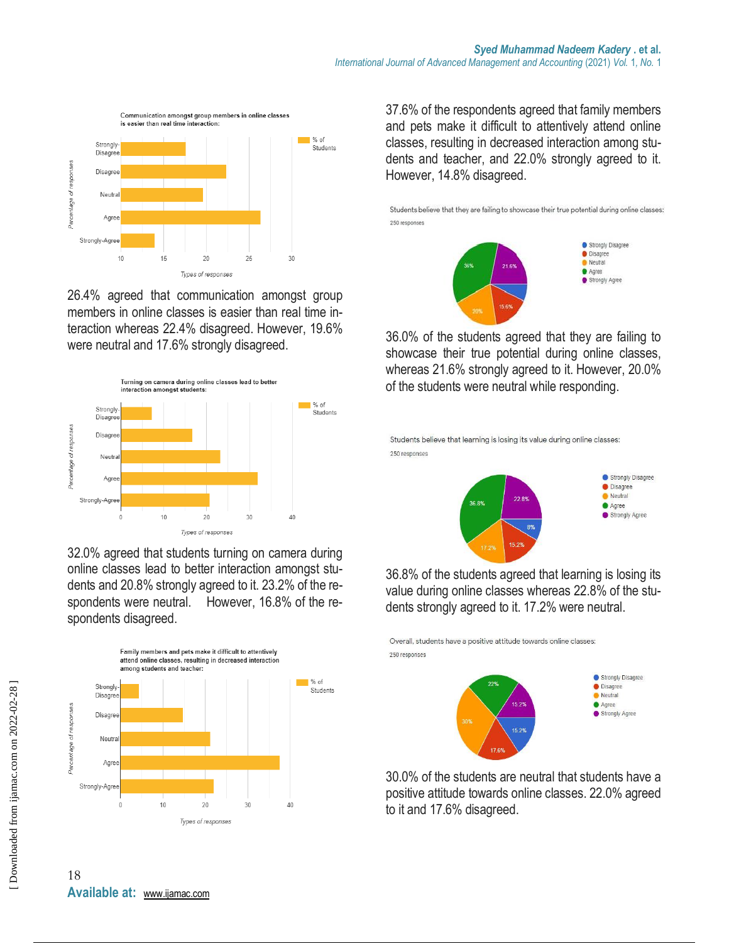

26.4% agreed that communication amongst group members in online classes is easier than real time interaction whereas 22.4% disagreed. However, 19.6% were neutral and 17.6% strongly disagreed.



32.0% agreed that students turning on camera during online classes lead to better interaction amongst students and 20.8% strongly agreed to it. 23.2% of the respondents were neutral. However, 16.8% of the respondents disagreed.



37.6% of the respondents agreed that family members and pets make it difficult to attentively attend online classes, resulting in decreased interaction among students and teacher, and 22.0% strongly agreed to it. However, 14.8% disagreed.

Students believe that they are failing to showcase their true potential during online classes: 250 responses



36.0% of the students agreed that they are failing to showcase their true potential during online classes, whereas 21.6% strongly agreed to it. However, 20.0% of the students were neutral while responding.

Students believe that learning is losing its value during online classes: 250 responses



36.8% of the students agreed that learning is losing its value during online classes whereas 22.8% of the students strongly agreed to it. 17.2% were neutral.

Overall, students have a positive attitude towards online classes: 250 responses



30.0% of the students are neutral that students have a positive attitude towards online classes. 22.0% agreed to it and 17.6% disagreed.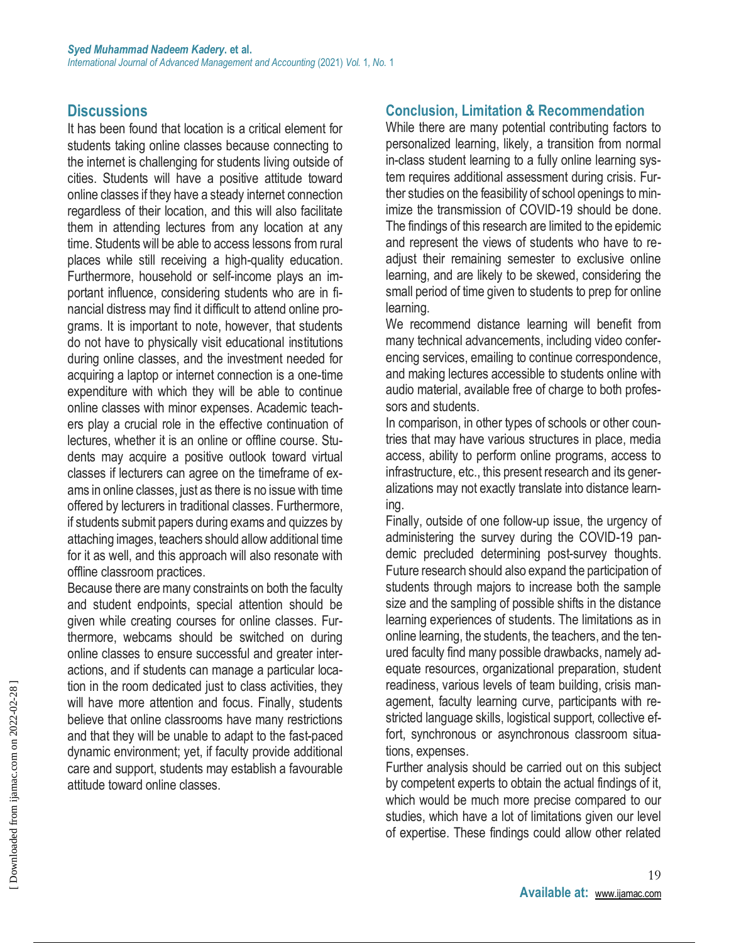## **Discussions**

It has been found that location is a critical element for students taking online classes because connecting to the internet is challenging for students living outside of cities. Students will have a positive attitude toward online classes if they have a steady internet connection regardless of their location, and this will also facilitate them in attending lectures from any location at any time. Students will be able to access lessons from rural places while still receiving a high-quality education. Furthermore, household or self-income plays an important influence, considering students who are in financial distress may find it difficult to attend online programs. It is important to note, however, that students do not have to physically visit educational institutions during online classes, and the investment needed for acquiring a laptop or internet connection is a one-time expenditure with which they will be able to continue online classes with minor expenses. Academic teachers play a crucial role in the effective continuation of lectures, whether it is an online or offline course. Students may acquire a positive outlook toward virtual classes if lecturers can agree on the timeframe of exams in online classes, just as there is no issue with time offered by lecturers in traditional classes. Furthermore, if students submit papers during exams and quizzes by attaching images, teachers should allow additional time for it as well, and this approach will also resonate with offline classroom practices.

Because there are many constraints on both the faculty and student endpoints, special attention should be given while creating courses for online classes. Furthermore, webcams should be switched on during online classes to ensure successful and greater interactions, and if students can manage a particular location in the room dedicated just to class activities, they will have more attention and focus. Finally, students believe that online classrooms have many restrictions and that they will be unable to adapt to the fast-paced dynamic environment; yet, if faculty provide additional care and support, students may establish a favourable attitude toward online classes.

#### **Conclusion, Limitation & Recommendation**

While there are many potential contributing factors to personalized learning, likely, a transition from normal in-class student learning to a fully online learning system requires additional assessment during crisis. Further studies on the feasibility of school openings to minimize the transmission of COVID-19 should be done. The findings of this research are limited to the epidemic and represent the views of students who have to readjust their remaining semester to exclusive online learning, and are likely to be skewed, considering the small period of time given to students to prep for online learning.

We recommend distance learning will benefit from many technical advancements, including video conferencing services, emailing to continue correspondence, and making lectures accessible to students online with audio material, available free of charge to both professors and students.

In comparison, in other types of schools or other countries that may have various structures in place, media access, ability to perform online programs, access to infrastructure, etc., this present research and its generalizations may not exactly translate into distance learning.

Finally, outside of one follow-up issue, the urgency of administering the survey during the COVID-19 pandemic precluded determining post-survey thoughts. Future research should also expand the participation of students through majors to increase both the sample size and the sampling of possible shifts in the distance learning experiences of students. The limitations as in online learning, the students, the teachers, and the tenured faculty find many possible drawbacks, namely adequate resources, organizational preparation, student readiness, various levels of team building, crisis management, faculty learning curve, participants with restricted language skills, logistical support, collective effort, synchronous or asynchronous classroom situations, expenses.

Further analysis should be carried out on this subject by competent experts to obtain the actual findings of it, which would be much more precise compared to our studies, which have a lot of limitations given our level of expertise. These findings could allow other related